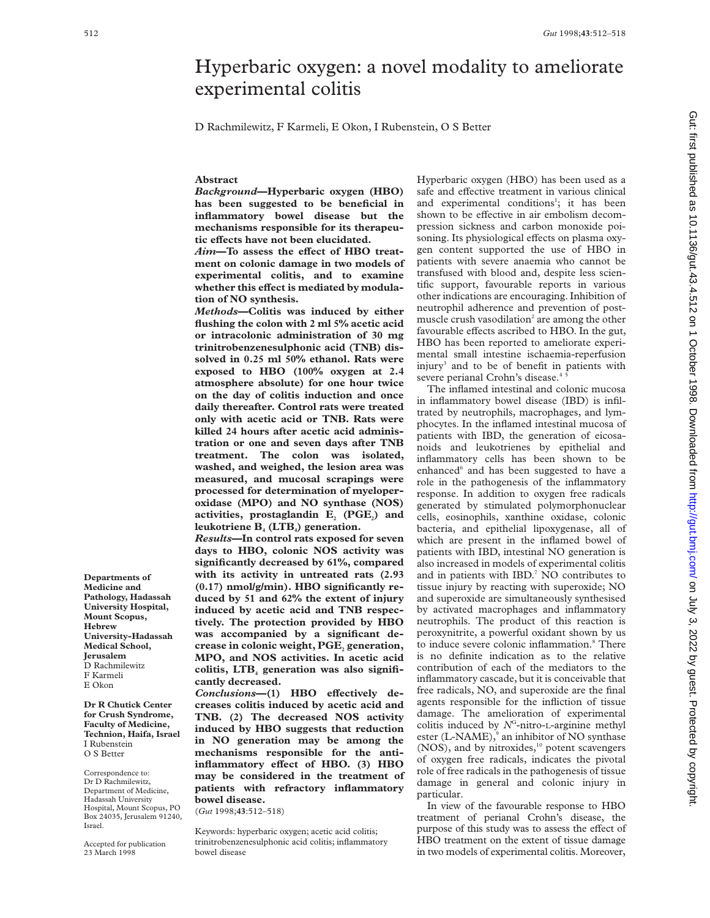# Hyperbaric oxygen: a novel modality to ameliorate experimental colitis

D Rachmilewitz, F Karmeli, E Okon, I Rubenstein, O S Better

## **Abstract**

*Background***—Hyperbaric oxygen (HBO) has been suggested to be beneficial in inflammatory bowel disease but the mechanisms responsible for its therapeutic eVects have not been elucidated.**

Aim-To assess the effect of HBO treat**ment on colonic damage in two models of experimental colitis, and to examine** whether this effect is mediated by modula**tion of NO synthesis.**

*Methods***—Colitis was induced by either flushing the colon with 2 ml 5% acetic acid or intracolonic administration of 30 mg trinitrobenzenesulphonic acid (TNB) dissolved in 0.25 ml 50% ethanol. Rats were exposed to HBO (100% oxygen at 2.4 atmosphere absolute) for one hour twice on the day of colitis induction and once daily thereafter. Control rats were treated only with acetic acid or TNB. Rats were killed 24 hours after acetic acid administration or one and seven days after TNB treatment. The colon was isolated, washed, and weighed, the lesion area was measured, and mucosal scrapings were processed for determination of myeloperoxidase (MPO) and NO synthase (NOS)** activities, prostaglandin E<sub>2</sub> (PGE<sub>2</sub>) and **leukotriene B<sub>4</sub> (LTB<sub>4</sub>) generation.** 

*Results***—In control rats exposed for seven days to HBO, colonic NOS activity was significantly decreased by 61%, compared with its activity in untreated rats (2.93 (0.17) nmol/g/min). HBO significantly reduced by 51 and 62% the extent of injury induced by acetic acid and TNB respectively. The protection provided by HBO was accompanied by a significant de**crease in colonic weight, PGE, generation, **MPO, and NOS activities. In acetic acid** colitis, LTB<sub>4</sub> generation was also signifi**cantly decreased.**

Conclusions-(1) HBO effectively de**creases colitis induced by acetic acid and TNB. (2) The decreased NOS activity induced by HBO suggests that reduction in NO generation may be among the mechanisms responsible for the antiinflammatory effect of HBO.** (3) HBO **may be considered in the treatment of patients with refractory inflammatory bowel disease.**

(*Gut* 1998;**43**:512–518)

Keywords: hyperbaric oxygen; acetic acid colitis; trinitrobenzenesulphonic acid colitis; inflammatory bowel disease

Hyperbaric oxygen (HBO) has been used as a safe and effective treatment in various clinical and experimental conditions<sup>1</sup>; it has been shown to be effective in air embolism decompression sickness and carbon monoxide poisoning. Its physiological effects on plasma oxygen content supported the use of HBO in patients with severe anaemia who cannot be transfused with blood and, despite less scientific support, favourable reports in various other indications are encouraging. Inhibition of neutrophil adherence and prevention of postmuscle crush vasodilation<sup>2</sup> are among the other favourable effects ascribed to HBO. In the gut, HBO has been reported to ameliorate experimental small intestine ischaemia-reperfusion injury<sup>3</sup> and to be of benefit in patients with severe perianal Crohn's disease.<sup>4</sup>

The inflamed intestinal and colonic mucosa in inflammatory bowel disease (IBD) is infiltrated by neutrophils, macrophages, and lymphocytes. In the inflamed intestinal mucosa of patients with IBD, the generation of eicosanoids and leukotrienes by epithelial and inflammatory cells has been shown to be enhanced<sup>6</sup> and has been suggested to have a role in the pathogenesis of the inflammatory response. In addition to oxygen free radicals generated by stimulated polymorphonuclear cells, eosinophils, xanthine oxidase, colonic bacteria, and epithelial lipoxygenase, all of which are present in the inflamed bowel of patients with IBD, intestinal NO generation is also increased in models of experimental colitis and in patients with IBD.<sup>7</sup> NO contributes to tissue injury by reacting with superoxide; NO and superoxide are simultaneously synthesised by activated macrophages and inflammatory neutrophils. The product of this reaction is peroxynitrite, a powerful oxidant shown by us to induce severe colonic inflammation.<sup>8</sup> There is no definite indication as to the relative contribution of each of the mediators to the inflammatory cascade, but it is conceivable that free radicals, NO, and superoxide are the final agents responsible for the infliction of tissue damage. The amelioration of experimental colitis induced by  $N<sup>G</sup>$ -nitro-L-arginine methyl ester  $(L-NAME)$ , an inhibitor of NO synthase (NOS), and by nitroxides,<sup>10</sup> potent scavengers of oxygen free radicals, indicates the pivotal role of free radicals in the pathogenesis of tissue damage in general and colonic injury in particular.

In view of the favourable response to HBO treatment of perianal Crohn's disease, the purpose of this study was to assess the effect of HBO treatment on the extent of tissue damage in two models of experimental colitis. Moreover,

Gut: first published as 10.1136/gut.43.4.512 on 1 October 1998. Downloaded from http://gut.bmj.com/ on July 3, 2022 by guest. Protected by copyright on July 3, 2022 by guest. Protected by copyright. <http://gut.bmj.com/> Gut: first published as 10.1136/gut.43.4.512 on 1 October 1998. Downloaded from

**Departments of Medicine and Pathology, Hadassah University Hospital, Mount Scopus, Hebrew**

**University-Hadassah Medical School, Jerusalem** D Rachmilewitz F Karmeli E Okon

**Dr R Chutick Center for Crush Syndrome, Faculty of Medicine, Technion, Haifa, Israel**

Accepted for publication 23 March 1998

I Rubenstein O S Better Correspondence to: Dr D Rachmilewitz, Department of Medicine, Hadassah University Hospital, Mount Scopus, PO Box 24035, Jerusalem 91240,

Israel.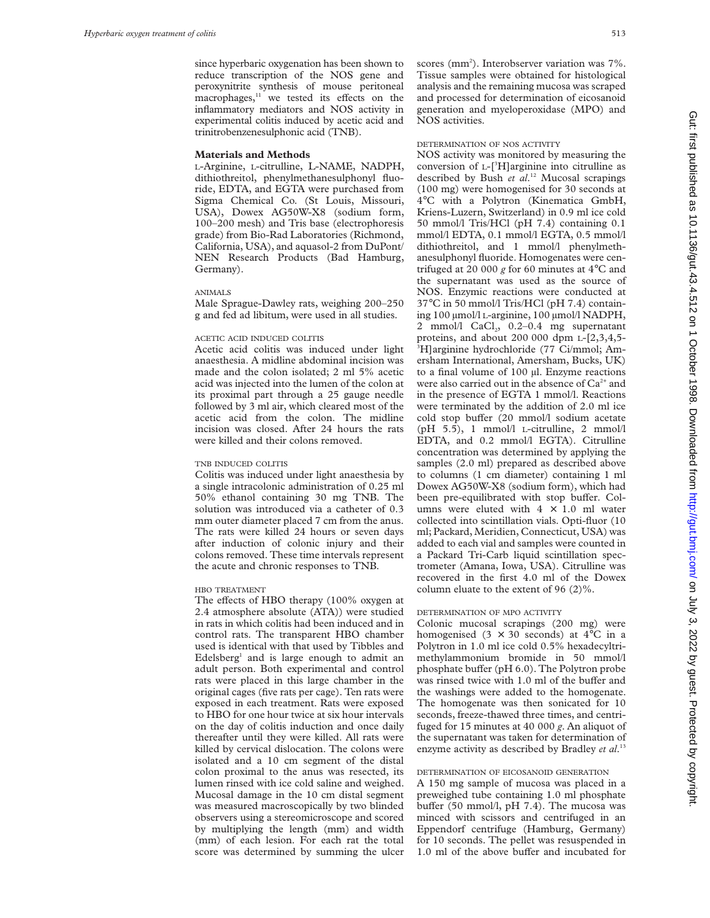since hyperbaric oxygenation has been shown to reduce transcription of the NOS gene and peroxynitrite synthesis of mouse peritoneal  $macrophages$ , $^{11}$  we tested its effects on the inflammatory mediators and NOS activity in experimental colitis induced by acetic acid and trinitrobenzenesulphonic acid (TNB).

#### **Materials and Methods**

L-Arginine, L-citrulline, L-NAME, NADPH, dithiothreitol, phenylmethanesulphonyl fluoride, EDTA, and EGTA were purchased from Sigma Chemical Co. (St Louis, Missouri, USA), Dowex AG50W-X8 (sodium form, 100–200 mesh) and Tris base (electrophoresis grade) from Bio-Rad Laboratories (Richmond, California, USA), and aquasol-2 from DuPont/ NEN Research Products (Bad Hamburg, Germany).

#### ANIMALS

Male Sprague-Dawley rats, weighing 200–250 g and fed ad libitum, were used in all studies.

#### ACETIC ACID INDUCED COLITIS

Acetic acid colitis was induced under light anaesthesia. A midline abdominal incision was made and the colon isolated; 2 ml 5% acetic acid was injected into the lumen of the colon at its proximal part through a 25 gauge needle followed by 3 ml air, which cleared most of the acetic acid from the colon. The midline incision was closed. After 24 hours the rats were killed and their colons removed.

#### TNB INDUCED COLITIS

Colitis was induced under light anaesthesia by a single intracolonic administration of 0.25 ml 50% ethanol containing 30 mg TNB. The solution was introduced via a catheter of 0.3 mm outer diameter placed 7 cm from the anus. The rats were killed 24 hours or seven days after induction of colonic injury and their colons removed. These time intervals represent the acute and chronic responses to TNB.

#### HBO TREATMENT

The effects of HBO therapy (100% oxygen at 2.4 atmosphere absolute (ATA)) were studied in rats in which colitis had been induced and in control rats. The transparent HBO chamber used is identical with that used by Tibbles and  $E$ delsberg<sup>1</sup> and is large enough to admit an adult person. Both experimental and control rats were placed in this large chamber in the original cages (five rats per cage). Ten rats were exposed in each treatment. Rats were exposed to HBO for one hour twice at six hour intervals on the day of colitis induction and once daily thereafter until they were killed. All rats were killed by cervical dislocation. The colons were isolated and a 10 cm segment of the distal colon proximal to the anus was resected, its lumen rinsed with ice cold saline and weighed. Mucosal damage in the 10 cm distal segment was measured macroscopically by two blinded observers using a stereomicroscope and scored by multiplying the length (mm) and width (mm) of each lesion. For each rat the total score was determined by summing the ulcer

scores (mm<sup>2</sup>). Interobserver variation was 7%. Tissue samples were obtained for histological analysis and the remaining mucosa was scraped and processed for determination of eicosanoid generation and myeloperoxidase (MPO) and NOS activities.

## DETERMINATION OF NOS ACTIVITY

NOS activity was monitored by measuring the conversion of L-[3 H]arginine into citrulline as described by Bush *et al*. <sup>12</sup> Mucosal scrapings (100 mg) were homogenised for 30 seconds at 4°C with a Polytron (Kinematica GmbH, Kriens-Luzern, Switzerland) in 0.9 ml ice cold 50 mmol/l Tris/HCl (pH 7.4) containing 0.1 mmol/l EDTA, 0.1 mmol/l EGTA, 0.5 mmol/l dithiothreitol, and 1 mmol/l phenylmethanesulphonyl fluoride. Homogenates were centrifuged at 20 000  $g$  for 60 minutes at  $4^{\circ}$ C and the supernatant was used as the source of NOS. Enzymic reactions were conducted at 37°C in 50 mmol/l Tris/HCl (pH 7.4) containing 100 µmol/l L-arginine, 100 µmol/l NADPH, 2 mmol/l  $CaCl<sub>2</sub>$ , 0.2–0.4 mg supernatant proteins, and about 200 000 dpm L-[2,3,4,5- 3 H]arginine hydrochloride (77 Ci/mmol; Amersham International, Amersham, Bucks, UK) to a final volume of 100 µl. Enzyme reactions were also carried out in the absence of  $Ca^{2+}$  and in the presence of EGTA 1 mmol/l. Reactions were terminated by the addition of 2.0 ml ice cold stop buffer (20 mmol/l sodium acetate (pH 5.5), 1 mmol/l L-citrulline, 2 mmol/l EDTA, and 0.2 mmol/l EGTA). Citrulline concentration was determined by applying the samples (2.0 ml) prepared as described above to columns (1 cm diameter) containing 1 ml Dowex AG50W-X8 (sodium form), which had been pre-equilibrated with stop buffer. Columns were eluted with  $4 \times 1.0$  ml water collected into scintillation vials. Opti-fluor (10 ml; Packard, Meridien, Connecticut, USA) was added to each vial and samples were counted in a Packard Tri-Carb liquid scintillation spectrometer (Amana, Iowa, USA). Citrulline was recovered in the first 4.0 ml of the Dowex column eluate to the extent of 96 (2)%.

## DETERMINATION OF MPO ACTIVITY

Colonic mucosal scrapings (200 mg) were homogenised  $(3 \times 30$  seconds) at 4°C in a Polytron in 1.0 ml ice cold 0.5% hexadecyltrimethylammonium bromide in 50 mmol/l phosphate buffer (pH  $6.0$ ). The Polytron probe was rinsed twice with 1.0 ml of the buffer and the washings were added to the homogenate. The homogenate was then sonicated for 10 seconds, freeze-thawed three times, and centrifuged for 15 minutes at 40 000 *g*. An aliquot of the supernatant was taken for determination of enzyme activity as described by Bradley et al.<sup>13</sup>

## DETERMINATION OF EICOSANOID GENERATION

A 150 mg sample of mucosa was placed in a preweighed tube containing 1.0 ml phosphate buffer (50 mmol/l, pH 7.4). The mucosa was minced with scissors and centrifuged in an Eppendorf centrifuge (Hamburg, Germany) for 10 seconds. The pellet was resuspended in 1.0 ml of the above buffer and incubated for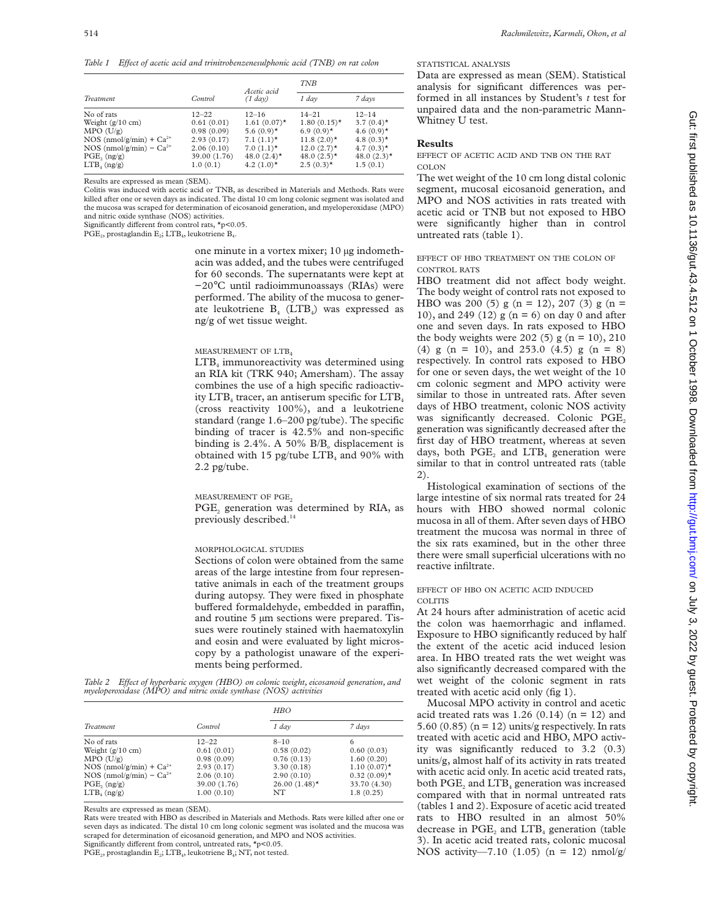Table 1 Effect of acetic acid and trinitrobenzenesulphonic acid (TNB) on rat colon

| <b>Treatment</b>             | Control      | Acetic acid<br>(1 day)   | <b>TNB</b>                |                          |
|------------------------------|--------------|--------------------------|---------------------------|--------------------------|
|                              |              |                          | 1 day                     | 7 days                   |
| No of rats                   | $12 - 22$    | $12 - 16$                | $14 - 21$                 | $12 - 14$                |
| Weight $(g/10 \text{ cm})$   | 0.61(0.01)   | $1.61(0.07)$ *           | $1.80(0.15)$ *            | 3.7 $(0.4)$ <sup>*</sup> |
| $MPO$ (U/g)                  | 0.98(0.09)   | 5.6 $(0.9)$ <sup>*</sup> | $6.9(0.9)$ *              | 4.6 $(0.9)$ *            |
| NOS (nmol/g/min) + $Ca^{2+}$ | 2.93(0.17)   | $7.1(1.1)$ *             | $11.8(2.0)$ *             | 4.8 $(0.3)$ <sup>*</sup> |
| NOS (nmol/g/min) – $Ca^{2+}$ | 2.06(0.10)   | $7.0(1.1)$ *             | $12.0 (2.7)$ *            | 4.7 $(0.3)$ <sup>*</sup> |
| $PGE$ , $(ng/g)$             | 39.00 (1.76) | 48.0 $(2.4)$ *           | 48.0 $(2.5)$ <sup>*</sup> | 48.0 $(2.3)$ *           |
| $LTB4$ (ng/g)                | 1.0(0.1)     | 4.2 $(1.0)$ <sup>*</sup> | $2.5(0.3)$ *              | 1.5(0.1)                 |

Results are expressed as mean (SEM).

Colitis was induced with acetic acid or TNB, as described in Materials and Methods. Rats were killed after one or seven days as indicated. The distal 10 cm long colonic segment was isolated and the mucosa was scraped for determination of eicosanoid generation, and myeloperoxidase (MPO) and nitric oxide synthase (NOS) activities.

Significantly different from control rats,  $\text{*p}<0.05$ .

PGE<sub>2</sub>, prostaglandin E<sub>2</sub>; LTB<sub>4</sub>, leukotriene B<sub>4</sub>.

one minute in a vortex mixer; 10 µg indomethacin was added, and the tubes were centrifuged for 60 seconds. The supernatants were kept at −20°C until radioimmunoassays (RIAs) were performed. The ability of the mucosa to generate leukotriene  $B_4$  (LTB<sub>4</sub>) was expressed as ng/g of wet tissue weight.

#### MEASUREMENT OF LTB4

LTB<sub>4</sub> immunoreactivity was determined using an RIA kit (TRK 940; Amersham). The assay combines the use of a high specific radioactivity  $LTB<sub>4</sub>$  tracer, an antiserum specific for  $LTB<sub>4</sub>$ (cross reactivity 100%), and a leukotriene standard (range 1.6–200 pg/tube). The specific binding of tracer is 42.5% and non-specific binding is  $2.4\%$ . A 50% B/B displacement is obtained with 15 pg/tube  $LTB<sub>4</sub>$  and 90% with 2.2 pg/tube.

### MEASUREMENT OF PGE<sub>2</sub>

PGE, generation was determined by RIA, as previously described.<sup>14</sup>

#### MORPHOLOGICAL STUDIES

Sections of colon were obtained from the same areas of the large intestine from four representative animals in each of the treatment groups during autopsy. They were fixed in phosphate buffered formaldehyde, embedded in paraffin, and routine 5  $\mu$ m sections were prepared. Tissues were routinely stained with haematoxylin and eosin and were evaluated by light microscopy by a pathologist unaware of the experiments being performed.

*Table 2 EVect of hyperbaric oxygen (HBO) on colonic weight, eicosanoid generation, and myeloperoxidase (MPO) and nitric oxide synthase (NOS) activities*

|                              |              | <b>HBO</b>      |                |  |
|------------------------------|--------------|-----------------|----------------|--|
| <b>Treatment</b>             | Control      | $1 \, day$      | 7 days         |  |
| No of rats                   | $12 - 22$    | $8 - 10$        | 6              |  |
| Weight $(g/10 \text{ cm})$   | 0.61(0.01)   | 0.58(0.02)      | 0.60(0.03)     |  |
| $MPO$ (U/g)                  | 0.98(0.09)   | 0.76(0.13)      | 1.60(0.20)     |  |
| NOS (nmol/g/min) + $Ca^{2+}$ | 2.93(0.17)   | 3.30(0.18)      | $1.10(0.07)$ * |  |
| NOS (nmol/g/min) – $Ca^{2+}$ | 2.06(0.10)   | 2.90(0.10)      | $0.32(0.09)$ * |  |
| $PGE$ , $(ng/g)$             | 39.00 (1.76) | $26.00(1.48)$ * | 33.70 (4.30)   |  |
| $LTB4$ (ng/g)                | 1.00(0.10)   | NT              | 1.8(0.25)      |  |

Results are expressed as mean (SEM).

Rats were treated with HBO as described in Materials and Methods. Rats were killed after one or seven days as indicated. The distal 10 cm long colonic segment was isolated and the mucosa was scraped for determination of eicosanoid generation, and MPO and NOS activities.

Significantly different from control, untreated rats,  $\star$ p<0.05.

PGE<sub>2</sub>, prostaglandin E<sub>2</sub>; LTB<sub>4</sub>, leukotriene B<sub>4</sub>; NT, not tested.

#### 514 *Rachmilewitz, Karmeli, Okon, et al*

## STATISTICAL ANALYSIS

Data are expressed as mean (SEM). Statistical analysis for significant differences was performed in all instances by Student's *t* test for unpaired data and the non-parametric Mann-Whitney U test.

## **Results**

EFFECT OF ACETIC ACID AND TNB ON THE RAT COLON

The wet weight of the 10 cm long distal colonic segment, mucosal eicosanoid generation, and MPO and NOS activities in rats treated with acetic acid or TNB but not exposed to HBO were significantly higher than in control untreated rats (table 1).

## EFFECT OF HBO TREATMENT ON THE COLON OF CONTROL RATS

HBO treatment did not affect body weight. The body weight of control rats not exposed to HBO was 200 (5) g (n = 12), 207 (3) g (n = 10), and 249 (12)  $g(n = 6)$  on day 0 and after one and seven days. In rats exposed to HBO the body weights were 202 (5) g ( $n = 10$ ), 210 (4) g (n = 10), and 253.0 (4.5) g (n = 8) respectively. In control rats exposed to HBO for one or seven days, the wet weight of the 10 cm colonic segment and MPO activity were similar to those in untreated rats. After seven days of HBO treatment, colonic NOS activity was significantly decreased. Colonic  $PGE_2$ generation was significantly decreased after the first day of HBO treatment, whereas at seven days, both  $PGE_2$  and  $LTB_4$  generation were similar to that in control untreated rats (table 2).

Histological examination of sections of the large intestine of six normal rats treated for 24 hours with HBO showed normal colonic mucosa in all of them. After seven days of HBO treatment the mucosa was normal in three of the six rats examined, but in the other three there were small superficial ulcerations with no reactive infiltrate.

#### EFFECT OF HBO ON ACETIC ACID INDUCED COLITIS

At 24 hours after administration of acetic acid the colon was haemorrhagic and inflamed. Exposure to HBO significantly reduced by half the extent of the acetic acid induced lesion area. In HBO treated rats the wet weight was also significantly decreased compared with the wet weight of the colonic segment in rats treated with acetic acid only (fig 1).

Mucosal MPO activity in control and acetic acid treated rats was  $1.26$  (0.14) ( $n = 12$ ) and 5.60 (0.85) ( $n = 12$ ) units/g respectively. In rats treated with acetic acid and HBO, MPO activity was significantly reduced to 3.2 (0.3) units/g, almost half of its activity in rats treated with acetic acid only. In acetic acid treated rats, both  $PGE_2$  and  $LTB_4$  generation was increased compared with that in normal untreated rats (tables 1 and 2). Exposure of acetic acid treated rats to HBO resulted in an almost 50% decrease in PGE, and  $LTB<sub>4</sub>$  generation (table 3). In acetic acid treated rats, colonic mucosal NOS activity—7.10  $(1.05)$   $(n = 12)$  nmol/g/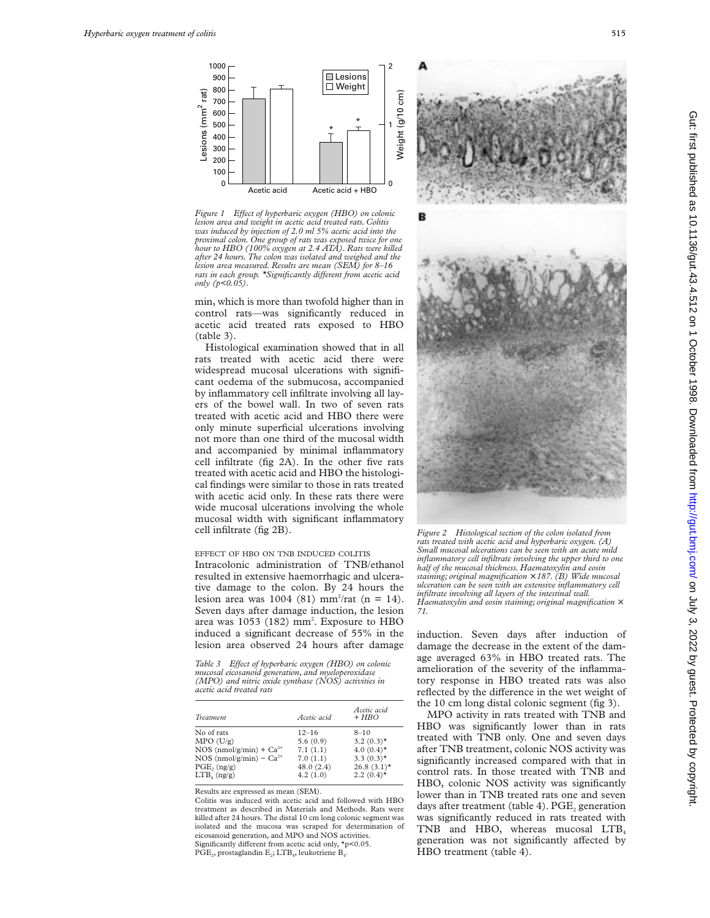

Figure 1 Effect of hyperbaric oxygen (HBO) on colonic *lesion area and weight in acetic acid treated rats. Colitis was induced by injection of 2.0 ml 5% acetic acid into the proximal colon. One group of rats was exposed twice for one hour to HBO (100% oxygen at 2.4 ATA). Rats were killed after 24 hours. The colon was isolated and weighed and the lesion area measured. Results are mean (SEM) for 8–16 rats in each group. \*Significantly diVerent from acetic acid only (p<0.05).*

min, which is more than twofold higher than in control rats—was significantly reduced in acetic acid treated rats exposed to HBO (table 3).

Histological examination showed that in all rats treated with acetic acid there were widespread mucosal ulcerations with significant oedema of the submucosa, accompanied by inflammatory cell infiltrate involving all layers of the bowel wall. In two of seven rats treated with acetic acid and HBO there were only minute superficial ulcerations involving not more than one third of the mucosal width and accompanied by minimal inflammatory cell infiltrate (fig 2A). In the other five rats treated with acetic acid and HBO the histological findings were similar to those in rats treated with acetic acid only. In these rats there were wide mucosal ulcerations involving the whole mucosal width with significant inflammatory cell infiltrate (fig 2B).

# EFFECT OF HBO ON TNB INDUCED COLITIS

Intracolonic administration of TNB/ethanol resulted in extensive haemorrhagic and ulcerative damage to the colon. By 24 hours the lesion area was  $1004$  (81) mm<sup>2</sup>/rat (n = 14). Seven days after damage induction, the lesion area was  $1053$  (182) mm<sup>2</sup>. Exposure to HBO induced a significant decrease of 55% in the lesion area observed 24 hours after damage

Table 3 Effect of hyperbaric oxygen (HBO) on colonic *mucosal eicosanoid generation, and myeloperoxidase (MPO) and nitric oxide synthase (NOS) activities in acetic acid treated rats*

| <i>Treatment</i>             | Acetic acid | Acetic acid<br>$+ HBO$   |
|------------------------------|-------------|--------------------------|
| No of rats                   | $12 - 16$   | $8 - 10$                 |
| $MPO$ $(U/g)$                | 5.6(0.9)    | $3.2(0.3)$ *             |
| NOS (nmol/g/min) + $Ca^{2+}$ | 7.1(1.1)    | 4.0 $(0.4)$ <sup>*</sup> |
| NOS (nmol/g/min) – $Ca^{2+}$ | 7.0(1.1)    | $3.3(0.3)$ *             |
| $PGE$ , $(ng/g)$             | 48.0(2.4)   | $26.8(3.1)$ *            |
| $LTB4$ (ng/g)                | 4.2(1.0)    | 2.2 $(0.4)$ <sup>*</sup> |

Results are expressed as mean (SEM).

Colitis was induced with acetic acid and followed with HBO treatment as described in Materials and Methods. Rats were killed after 24 hours. The distal 10 cm long colonic segment was isolated and the mucosa was scraped for determination of eicosanoid generation, and MPO and NOS activities. Significantly different from acetic acid only,  $\star$ p<0.05.

PGE<sub>2</sub>, prostaglandin E<sub>2</sub>; LTB<sub>4</sub>, leukotriene B<sub>4</sub>.



*Figure 2 Histological section of the colon isolated from rats treated with acetic acid and hyperbaric oxygen. (A) Small mucosal ulcerations can be seen with an acute mild inflammatory cell infiltrate involving the upper third to one half of the mucosal thickness. Haematoxylin and eosin staining; original magnification* × *187. (B) Wide mucosal ulceration can be seen with an extensive inflammatory cell infiltrate involving all layers of the intestinal wall. Haematoxylin and eosin staining; original magnification* × *71.*

induction. Seven days after induction of damage the decrease in the extent of the damage averaged 63% in HBO treated rats. The amelioration of the severity of the inflammatory response in HBO treated rats was also reflected by the difference in the wet weight of the 10 cm long distal colonic segment (fig 3).

MPO activity in rats treated with TNB and HBO was significantly lower than in rats treated with TNB only. One and seven days after TNB treatment, colonic NOS activity was significantly increased compared with that in control rats. In those treated with TNB and HBO, colonic NOS activity was significantly lower than in TNB treated rats one and seven days after treatment (table 4). PGE, generation was significantly reduced in rats treated with TNB and HBO, whereas mucosal LTB<sub>4</sub> generation was not significantly affected by HBO treatment (table 4).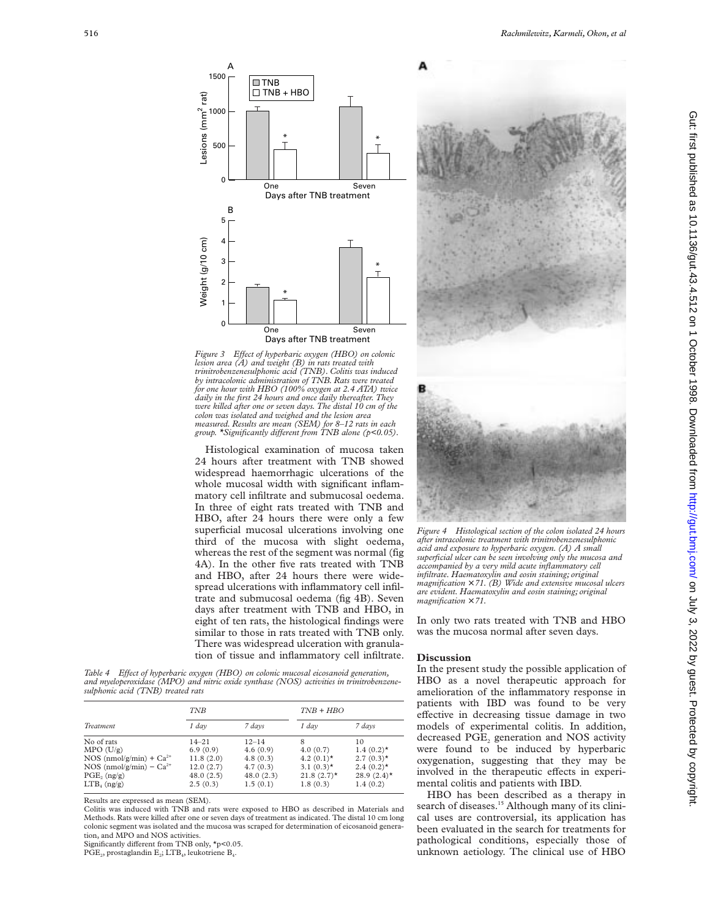

Figure 3 Effect of hyperbaric oxygen (HBO) on colonic *lesion area (A) and weight (B) in rats treated with trinitrobenzenesulphonic acid (TNB). Colitis was induced by intracolonic administration of TNB. Rats were treated for one hour with HBO (100% oxygen at 2.4 ATA) twice daily in the first 24 hours and once daily thereafter. They were killed after one or seven days. The distal 10 cm of the colon was isolated and weighed and the lesion area measured. Results are mean (SEM) for 8–12 rats in each group.* \*Significantly different from TNB alone (p<0.05).

Histological examination of mucosa taken 24 hours after treatment with TNB showed widespread haemorrhagic ulcerations of the whole mucosal width with significant inflammatory cell infiltrate and submucosal oedema. In three of eight rats treated with TNB and HBO, after 24 hours there were only a few superficial mucosal ulcerations involving one third of the mucosa with slight oedema, whereas the rest of the segment was normal (fig 4A). In the other five rats treated with TNB and HBO, after 24 hours there were widespread ulcerations with inflammatory cell infiltrate and submucosal oedema (fig 4B). Seven days after treatment with TNB and HBO, in eight of ten rats, the histological findings were similar to those in rats treated with TNB only. There was widespread ulceration with granulation of tissue and inflammatory cell infiltrate.

Table 4 Effect of hyperbaric oxygen (HBO) on colonic mucosal eicosanoid generation, *and myeloperoxidase (MPO) and nitric oxide synthase (NOS) activities in trinitrobenzenesulphonic acid (TNB) treated rats*

| <b>Treatment</b>                                                                                                               | <b>TNB</b>                                                               |                                                                        | $TNR + HRO$                                                                             |                                                                                 |
|--------------------------------------------------------------------------------------------------------------------------------|--------------------------------------------------------------------------|------------------------------------------------------------------------|-----------------------------------------------------------------------------------------|---------------------------------------------------------------------------------|
|                                                                                                                                | $1 \, day$                                                               | 7 days                                                                 | $1 \, day$                                                                              | 7 days                                                                          |
| No of rats<br>$MPO$ (U/g)<br>NOS (nmol/g/min) + $Ca^{2+}$<br>NOS (nmol/g/min) – $Ca^{2+}$<br>$PGE$ , $(ng/g)$<br>$LTB4$ (ng/g) | $14 - 21$<br>6.9(0.9)<br>11.8(2.0)<br>12.0(2.7)<br>48.0(2.5)<br>2.5(0.3) | $12 - 14$<br>4.6(0.9)<br>4.8(0.3)<br>4.7(0.3)<br>48.0(2.3)<br>1.5(0.1) | 8<br>4.0(0.7)<br>4.2 $(0.1)$ <sup>*</sup><br>3.1 $(0.3)$ *<br>$21.8(2.7)$ *<br>1.8(0.3) | 10<br>$1.4(0.2)$ *<br>$2.7(0.3)$ *<br>$2.4(0.2)$ *<br>$28.9(2.4)$ *<br>1.4(0.2) |

Results are expressed as mean (SEM).

Colitis was induced with TNB and rats were exposed to HBO as described in Materials and Methods. Rats were killed after one or seven days of treatment as indicated. The distal 10 cm long colonic segment was isolated and the mucosa was scraped for determination of eicosanoid generation, and MPO and NOS activities.

Significantly different from TNB only,  $\star$ p<0.05.

PGE<sub>2</sub>, prostaglandin E<sub>2</sub>; LTB<sub>4</sub>, leukotriene B<sub>4</sub>.





*Figure 4 Histological section of the colon isolated 24 hours after intracolonic treatment with trinitrobenzenesulphonic acid and exposure to hyperbaric oxygen. (A) A small superficial ulcer can be seen involving only the mucosa and accompanied by a very mild acute inflammatory cell infiltrate. Haematoxylin and eosin staining; original magnification* × *71. (B) Wide and extensive mucosal ulcers are evident. Haematoxylin and eosin staining; original magnification* × *71.*

In only two rats treated with TNB and HBO was the mucosa normal after seven days.

## **Discussion**

In the present study the possible application of HBO as a novel therapeutic approach for amelioration of the inflammatory response in patients with IBD was found to be very effective in decreasing tissue damage in two models of experimental colitis. In addition, decreased PGE<sub>2</sub> generation and NOS activity were found to be induced by hyperbaric oxygenation, suggesting that they may be involved in the therapeutic effects in experimental colitis and patients with IBD.

HBO has been described as a therapy in search of diseases.<sup>15</sup> Although many of its clinical uses are controversial, its application has been evaluated in the search for treatments for pathological conditions, especially those of unknown aetiology. The clinical use of HBO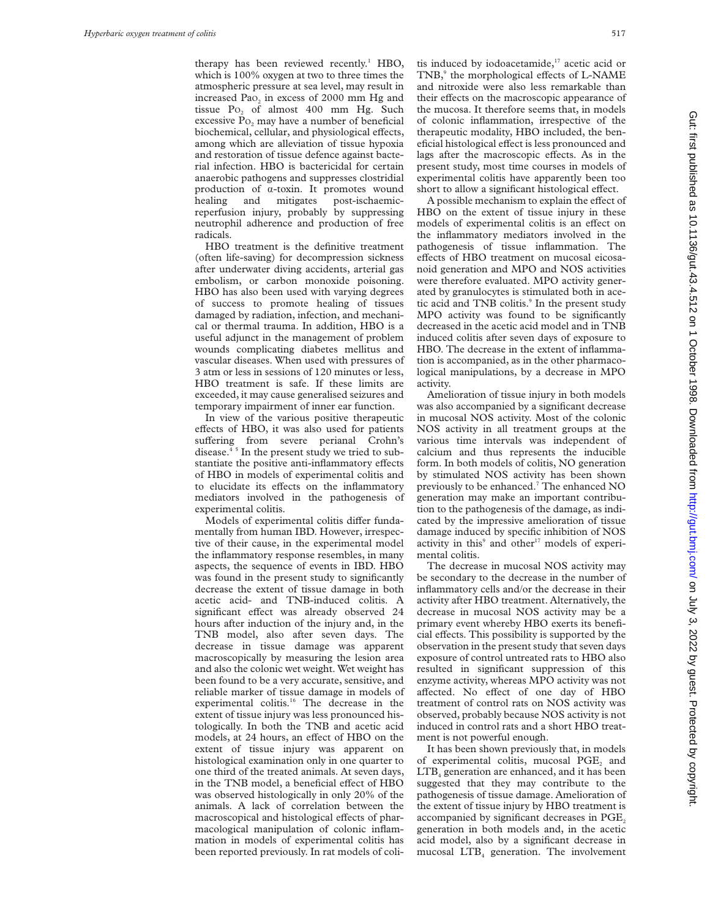therapy has been reviewed recently.<sup>1</sup> HBO, which is 100% oxygen at two to three times the atmospheric pressure at sea level, may result in increased Pao<sub>2</sub> in excess of 2000 mm Hg and tissue  $Po_2$  of almost 400 mm Hg. Such excessive  $Po_2$  may have a number of beneficial biochemical, cellular, and physiological effects, among which are alleviation of tissue hypoxia and restoration of tissue defence against bacterial infection. HBO is bactericidal for certain anaerobic pathogens and suppresses clostridial production of  $\alpha$ -toxin. It promotes wound healing and mitigates post-ischaemicreperfusion injury, probably by suppressing neutrophil adherence and production of free radicals.

HBO treatment is the definitive treatment (often life-saving) for decompression sickness after underwater diving accidents, arterial gas embolism, or carbon monoxide poisoning. HBO has also been used with varying degrees of success to promote healing of tissues damaged by radiation, infection, and mechanical or thermal trauma. In addition, HBO is a useful adjunct in the management of problem wounds complicating diabetes mellitus and vascular diseases. When used with pressures of 3 atm or less in sessions of 120 minutes or less, HBO treatment is safe. If these limits are exceeded, it may cause generalised seizures and temporary impairment of inner ear function.

In view of the various positive therapeutic effects of HBO, it was also used for patients suffering from severe perianal Crohn's disease. $45$  In the present study we tried to substantiate the positive anti-inflammatory effects of HBO in models of experimental colitis and to elucidate its effects on the inflammatory mediators involved in the pathogenesis of experimental colitis.

Models of experimental colitis differ fundamentally from human IBD. However, irrespective of their cause, in the experimental model the inflammatory response resembles, in many aspects, the sequence of events in IBD. HBO was found in the present study to significantly decrease the extent of tissue damage in both acetic acid- and TNB-induced colitis. A significant effect was already observed 24 hours after induction of the injury and, in the TNB model, also after seven days. The decrease in tissue damage was apparent macroscopically by measuring the lesion area and also the colonic wet weight. Wet weight has been found to be a very accurate, sensitive, and reliable marker of tissue damage in models of experimental colitis.<sup>16</sup> The decrease in the extent of tissue injury was less pronounced histologically. In both the TNB and acetic acid models, at 24 hours, an effect of HBO on the extent of tissue injury was apparent on histological examination only in one quarter to one third of the treated animals. At seven days, in the TNB model, a beneficial effect of HBO was observed histologically in only 20% of the animals. A lack of correlation between the macroscopical and histological effects of pharmacological manipulation of colonic inflammation in models of experimental colitis has been reported previously. In rat models of coli-

tis induced by iodoacetamide, $17$  acetic acid or TNB,<sup>9</sup> the morphological effects of L-NAME and nitroxide were also less remarkable than their effects on the macroscopic appearance of the mucosa. It therefore seems that, in models of colonic inflammation, irrespective of the therapeutic modality, HBO included, the beneficial histological effect is less pronounced and lags after the macroscopic effects. As in the present study, most time courses in models of experimental colitis have apparently been too short to allow a significant histological effect.

A possible mechanism to explain the effect of HBO on the extent of tissue injury in these models of experimental colitis is an effect on the inflammatory mediators involved in the pathogenesis of tissue inflammation. The effects of HBO treatment on mucosal eicosanoid generation and MPO and NOS activities were therefore evaluated. MPO activity generated by granulocytes is stimulated both in acetic acid and TNB colitis.<sup>9</sup> In the present study MPO activity was found to be significantly decreased in the acetic acid model and in TNB induced colitis after seven days of exposure to HBO. The decrease in the extent of inflammation is accompanied, as in the other pharmacological manipulations, by a decrease in MPO activity.

Amelioration of tissue injury in both models was also accompanied by a significant decrease in mucosal NOS activity. Most of the colonic NOS activity in all treatment groups at the various time intervals was independent of calcium and thus represents the inducible form. In both models of colitis, NO generation by stimulated NOS activity has been shown previously to be enhanced.7 The enhanced NO generation may make an important contribution to the pathogenesis of the damage, as indicated by the impressive amelioration of tissue damage induced by specific inhibition of NOS activity in this $9$  and other<sup>17</sup> models of experimental colitis.

The decrease in mucosal NOS activity may be secondary to the decrease in the number of inflammatory cells and/or the decrease in their activity after HBO treatment. Alternatively, the decrease in mucosal NOS activity may be a primary event whereby HBO exerts its beneficial effects. This possibility is supported by the observation in the present study that seven days exposure of control untreated rats to HBO also resulted in significant suppression of this enzyme activity, whereas MPO activity was not affected. No effect of one day of HBO treatment of control rats on NOS activity was observed, probably because NOS activity is not induced in control rats and a short HBO treatment is not powerful enough.

It has been shown previously that, in models of experimental colitis, mucosal PGE, and LTB<sub>4</sub> generation are enhanced, and it has been suggested that they may contribute to the pathogenesis of tissue damage. Amelioration of the extent of tissue injury by HBO treatment is accompanied by significant decreases in PGE<sub>2</sub> generation in both models and, in the acetic acid model, also by a significant decrease in mucosal LTB<sub>4</sub> generation. The involvement